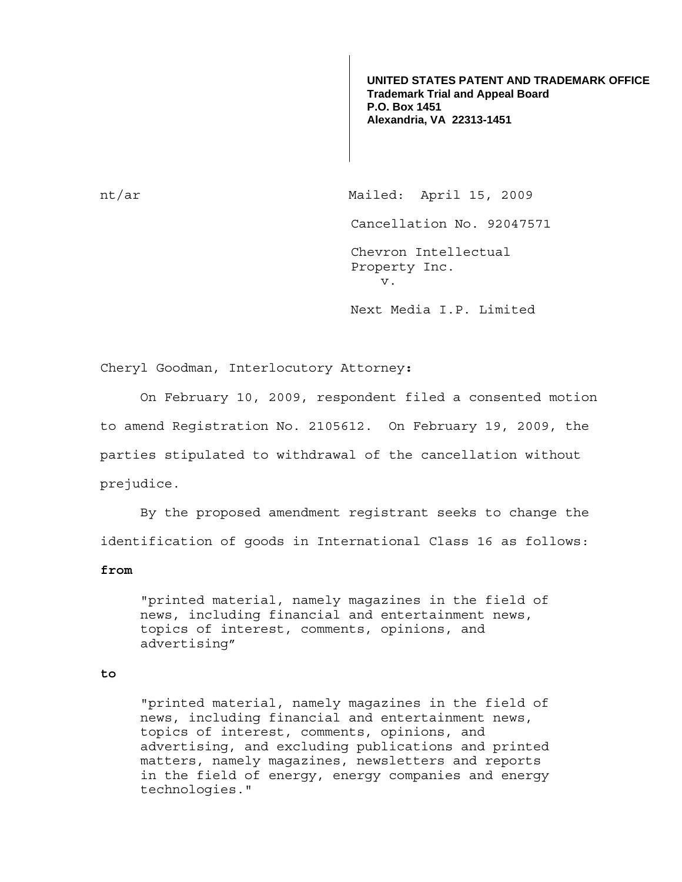**UNITED STATES PATENT AND TRADEMARK OFFICE Trademark Trial and Appeal Board P.O. Box 1451 Alexandria, VA 22313-1451**

nt/ar Mailed: April 15, 2009 Cancellation No. 92047571 Chevron Intellectual Property Inc. v. Next Media I.P. Limited

Cheryl Goodman, Interlocutory Attorney**:** 

 On February 10, 2009, respondent filed a consented motion to amend Registration No. 2105612. On February 19, 2009, the parties stipulated to withdrawal of the cancellation without prejudice.

 By the proposed amendment registrant seeks to change the identification of goods in International Class 16 as follows:

## **from**

"printed material, namely magazines in the field of news, including financial and entertainment news, topics of interest, comments, opinions, and advertising"

## **to**

"printed material, namely magazines in the field of news, including financial and entertainment news, topics of interest, comments, opinions, and advertising, and excluding publications and printed matters, namely magazines, newsletters and reports in the field of energy, energy companies and energy technologies."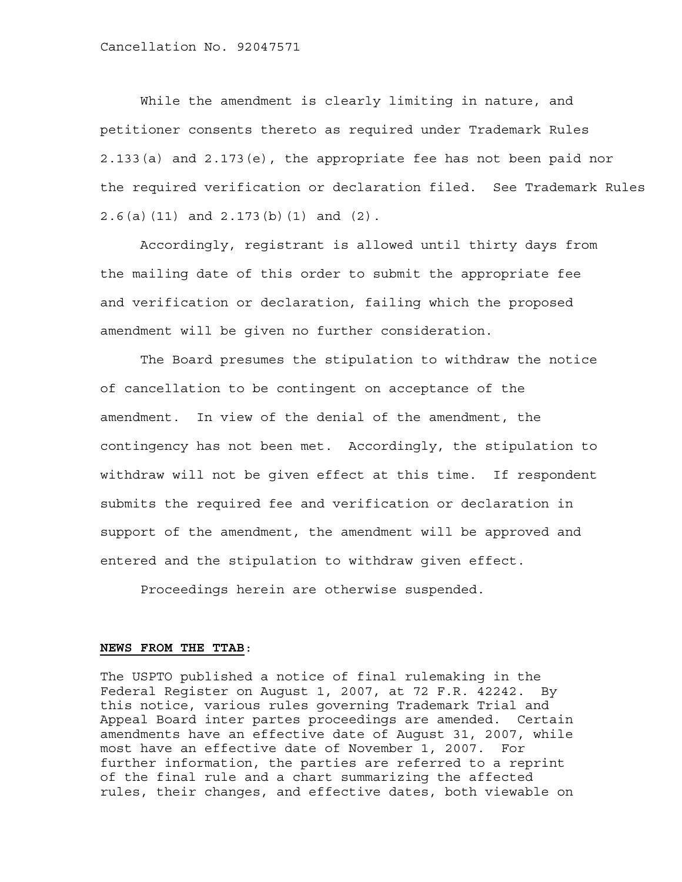While the amendment is clearly limiting in nature, and petitioner consents thereto as required under Trademark Rules 2.133(a) and 2.173(e), the appropriate fee has not been paid nor the required verification or declaration filed. See Trademark Rules 2.6(a)(11) and 2.173(b)(1) and (2).

 Accordingly, registrant is allowed until thirty days from the mailing date of this order to submit the appropriate fee and verification or declaration, failing which the proposed amendment will be given no further consideration.

 The Board presumes the stipulation to withdraw the notice of cancellation to be contingent on acceptance of the amendment. In view of the denial of the amendment, the contingency has not been met. Accordingly, the stipulation to withdraw will not be given effect at this time. If respondent submits the required fee and verification or declaration in support of the amendment, the amendment will be approved and entered and the stipulation to withdraw given effect.

Proceedings herein are otherwise suspended.

## **NEWS FROM THE TTAB**:

The USPTO published a notice of final rulemaking in the Federal Register on August 1, 2007, at 72 F.R. 42242. By this notice, various rules governing Trademark Trial and Appeal Board inter partes proceedings are amended. Certain amendments have an effective date of August 31, 2007, while most have an effective date of November 1, 2007. For further information, the parties are referred to a reprint of the final rule and a chart summarizing the affected rules, their changes, and effective dates, both viewable on